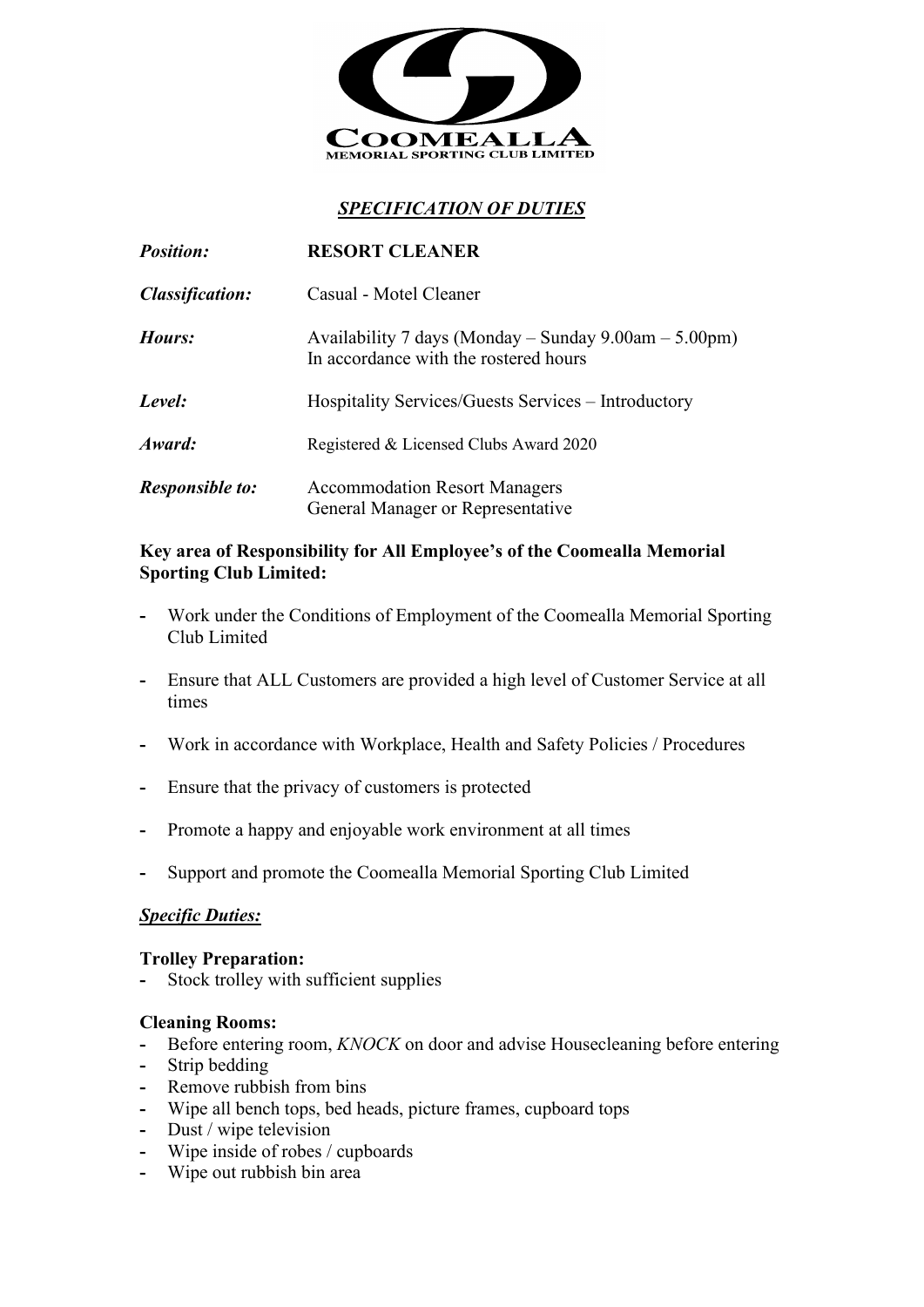

# *SPECIFICATION OF DUTIES*

| <b>Position:</b>       | <b>RESORT CLEANER</b>                                                                          |
|------------------------|------------------------------------------------------------------------------------------------|
| <b>Classification:</b> | Casual - Motel Cleaner                                                                         |
| Hours:                 | Availability 7 days (Monday – Sunday 9.00am – 5.00pm)<br>In accordance with the rostered hours |
| Level:                 | Hospitality Services/Guests Services – Introductory                                            |
| Award:                 | Registered & Licensed Clubs Award 2020                                                         |
| <b>Responsible to:</b> | <b>Accommodation Resort Managers</b><br>General Manager or Representative                      |

### **Key area of Responsibility for All Employee's of the Coomealla Memorial Sporting Club Limited:**

- **-** Work under the Conditions of Employment of the Coomealla Memorial Sporting Club Limited
- **-** Ensure that ALL Customers are provided a high level of Customer Service at all times
- **-** Work in accordance with Workplace, Health and Safety Policies / Procedures
- **-** Ensure that the privacy of customers is protected
- **-** Promote a happy and enjoyable work environment at all times
- **-** Support and promote the Coomealla Memorial Sporting Club Limited

## *Specific Duties:*

### **Trolley Preparation:**

**-** Stock trolley with sufficient supplies

#### **Cleaning Rooms:**

- **-** Before entering room, *KNOCK* on door and advise Housecleaning before entering
- **-** Strip bedding
- **-** Remove rubbish from bins
- **-** Wipe all bench tops, bed heads, picture frames, cupboard tops
- **-** Dust / wipe television
- **-** Wipe inside of robes / cupboards
- **-** Wipe out rubbish bin area